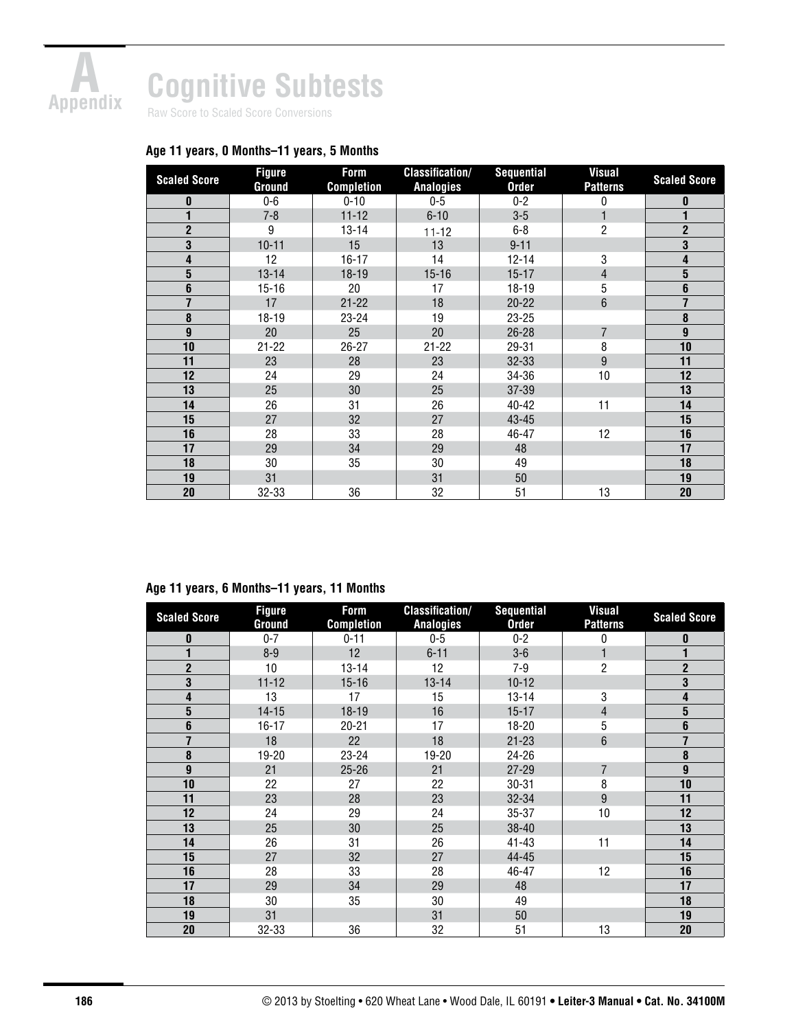

# **Cognitive Subtests**

Raw Score to Scaled Score Conversions

## **Age 11 years, 0 Months–11 years, 5 Months**

| <b>Scaled Score</b> | <b>Figure</b><br>Ground | Form<br><b>Completion</b> | <b>Classification/</b><br><b>Analogies</b> | <b>Sequential</b><br><b>Order</b> | <b>Visual</b><br><b>Patterns</b> | <b>Scaled Score</b> |
|---------------------|-------------------------|---------------------------|--------------------------------------------|-----------------------------------|----------------------------------|---------------------|
| $\mathbf{0}$        | $0-6$                   | $0 - 10$                  | $0 - 5$                                    | $0 - 2$                           | 0                                | 0                   |
|                     | $7 - 8$                 | $11 - 12$                 | $6 - 10$                                   | $3-5$                             |                                  |                     |
| $\overline{2}$      | 9                       | $13 - 14$                 | $11 - 12$                                  | $6 - 8$                           | $\overline{2}$                   | $\mathbf{2}$        |
| 3                   | $10 - 11$               | 15                        | 13                                         | $9 - 11$                          |                                  | 3                   |
| 4                   | 12                      | $16 - 17$                 | 14                                         | $12 - 14$                         | 3                                | 4                   |
| $5\phantom{.0}$     | $13 - 14$               | $18 - 19$                 | $15 - 16$                                  | $15 - 17$                         | $\overline{4}$                   | 5                   |
| $6\phantom{1}$      | $15 - 16$               | 20                        | 17                                         | $18 - 19$                         | 5                                | 6                   |
| $\overline{7}$      | 17                      | $21 - 22$                 | 18                                         | $20 - 22$                         | 6                                | 7                   |
| 8                   | 18-19                   | 23-24                     | 19                                         | 23-25                             |                                  | 8                   |
| $\boldsymbol{9}$    | 20                      | 25                        | 20                                         | $26 - 28$                         | $\overline{7}$                   | $\boldsymbol{9}$    |
| 10                  | $21 - 22$               | $26 - 27$                 | $21 - 22$                                  | 29-31                             | 8                                | 10                  |
| 11                  | 23                      | 28                        | 23                                         | $32 - 33$                         | 9                                | 11                  |
| 12                  | 24                      | 29                        | 24                                         | 34-36                             | 10                               | 12                  |
| 13                  | 25                      | 30                        | 25                                         | $37 - 39$                         |                                  | 13                  |
| 14                  | 26                      | 31                        | 26                                         | 40-42                             | 11                               | 14                  |
| 15                  | 27                      | 32                        | 27                                         | 43-45                             |                                  | 15                  |
| 16                  | 28                      | 33                        | 28                                         | 46-47                             | 12                               | 16                  |
| 17                  | 29                      | 34                        | 29                                         | 48                                |                                  | 17                  |
| 18                  | 30                      | 35                        | 30                                         | 49                                |                                  | 18                  |
| 19                  | 31                      |                           | 31                                         | 50                                |                                  | 19                  |
| 20                  | 32-33                   | 36                        | 32                                         | 51                                | 13                               | 20                  |

### **Age 11 years, 6 Months–11 years, 11 Months**

| <b>Scaled Score</b> | <b>Figure</b><br>Ground | Form<br><b>Completion</b> | <b>Classification/</b><br><b>Analogies</b> | <b>Sequential</b><br><b>Order</b> | <b>Visual</b><br><b>Patterns</b> | <b>Scaled Score</b>     |
|---------------------|-------------------------|---------------------------|--------------------------------------------|-----------------------------------|----------------------------------|-------------------------|
| 0                   | $0 - 7$                 | $0 - 11$                  | $0-5$                                      | $0 - 2$                           | 0                                | 0                       |
|                     | $8 - 9$                 | 12                        | $6 - 11$                                   | $3-6$                             |                                  |                         |
| $\mathbf{2}$        | 10                      | $13 - 14$                 | 12                                         | $7 - 9$                           | $\overline{2}$                   | $\mathbf{2}$            |
| 3                   | $11 - 12$               | $15 - 16$                 | $13 - 14$                                  | $10-12$                           |                                  | 3                       |
| 4                   | 13                      | 17                        | 15                                         | 13-14                             | 3                                | 4                       |
| 5                   | $14 - 15$               | 18-19                     | 16                                         | $15 - 17$                         | $\overline{4}$                   | $\overline{\mathbf{5}}$ |
| 6                   | $16 - 17$               | $20 - 21$                 | 17                                         | 18-20                             | 5                                | $\boldsymbol{6}$        |
| $\overline{7}$      | 18                      | 22                        | 18                                         | $21 - 23$                         | 6                                | $\overline{1}$          |
| 8                   | 19-20                   | $23 - 24$                 | 19-20                                      | 24-26                             |                                  | 8                       |
| 9                   | 21                      | $25 - 26$                 | 21                                         | $27 - 29$                         | $\overline{7}$                   | 9                       |
| 10                  | 22                      | 27                        | 22                                         | $30 - 31$                         | 8                                | 10                      |
| 11                  | 23                      | 28                        | 23                                         | 32-34                             | 9                                | 11                      |
| 12                  | 24                      | 29                        | 24                                         | 35-37                             | 10                               | 12                      |
| 13                  | 25                      | 30                        | 25                                         | 38-40                             |                                  | 13                      |
| 14                  | 26                      | 31                        | 26                                         | $41 - 43$                         | 11                               | 14                      |
| 15                  | 27                      | 32                        | 27                                         | 44-45                             |                                  | 15                      |
| 16                  | 28                      | 33                        | 28                                         | 46-47                             | 12                               | 16                      |
| 17                  | 29                      | 34                        | 29                                         | 48                                |                                  | 17                      |
| 18                  | 30                      | 35                        | 30                                         | 49                                |                                  | 18                      |
| 19                  | 31                      |                           | 31                                         | 50                                |                                  | 19                      |
| 20                  | 32-33                   | 36                        | 32                                         | 51                                | 13                               | 20                      |